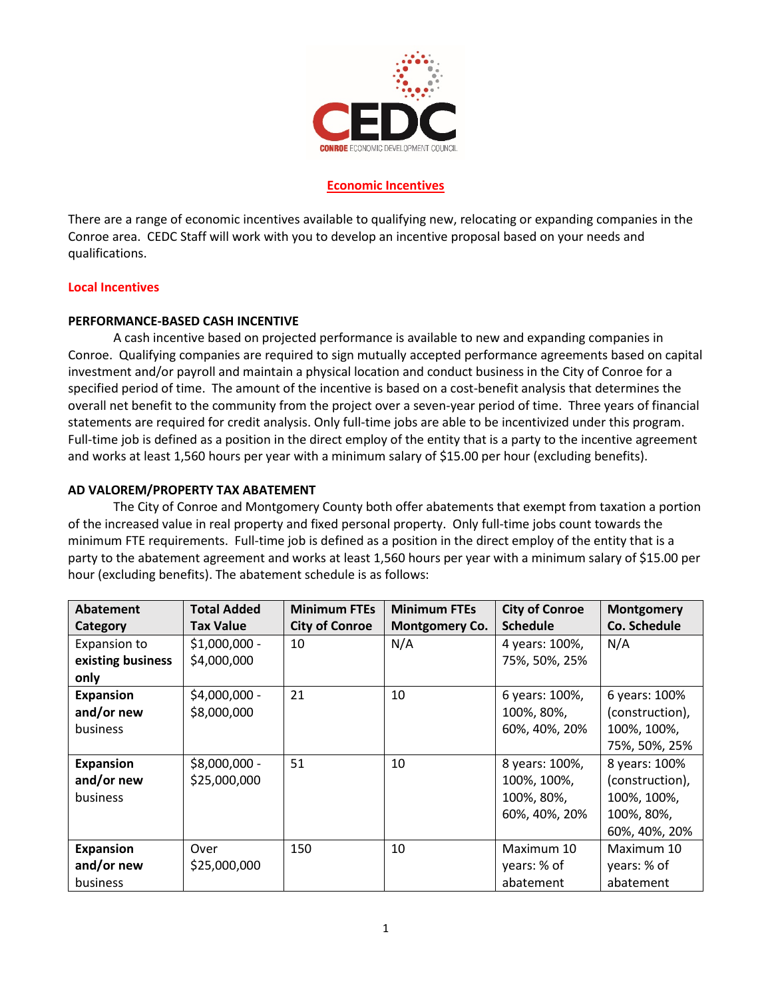

## **Economic Incentives**

There are a range of economic incentives available to qualifying new, relocating or expanding companies in the Conroe area. CEDC Staff will work with you to develop an incentive proposal based on your needs and qualifications.

## **Local Incentives**

## **PERFORMANCE-BASED CASH INCENTIVE**

A cash incentive based on projected performance is available to new and expanding companies in Conroe. Qualifying companies are required to sign mutually accepted performance agreements based on capital investment and/or payroll and maintain a physical location and conduct business in the City of Conroe for a specified period of time. The amount of the incentive is based on a cost-benefit analysis that determines the overall net benefit to the community from the project over a seven-year period of time. Three years of financial statements are required for credit analysis. Only full-time jobs are able to be incentivized under this program. Full-time job is defined as a position in the direct employ of the entity that is a party to the incentive agreement and works at least 1,560 hours per year with a minimum salary of \$15.00 per hour (excluding benefits).

## **AD VALOREM/PROPERTY TAX ABATEMENT**

The City of Conroe and Montgomery County both offer abatements that exempt from taxation a portion of the increased value in real property and fixed personal property. Only full-time jobs count towards the minimum FTE requirements. Full-time job is defined as a position in the direct employ of the entity that is a party to the abatement agreement and works at least 1,560 hours per year with a minimum salary of \$15.00 per hour (excluding benefits). The abatement schedule is as follows:

| <b>Abatement</b>  | <b>Total Added</b> | <b>Minimum FTEs</b>   | <b>Minimum FTEs</b>   | <b>City of Conroe</b> | <b>Montgomery</b>   |
|-------------------|--------------------|-----------------------|-----------------------|-----------------------|---------------------|
| Category          | <b>Tax Value</b>   | <b>City of Conroe</b> | <b>Montgomery Co.</b> | <b>Schedule</b>       | <b>Co. Schedule</b> |
| Expansion to      | $$1,000,000 -$     | 10                    | N/A                   | 4 years: 100%,        | N/A                 |
| existing business | \$4,000,000        |                       |                       | 75%, 50%, 25%         |                     |
| only              |                    |                       |                       |                       |                     |
| <b>Expansion</b>  | \$4,000,000 -      | 21                    | 10                    | 6 years: 100%,        | 6 years: 100%       |
| and/or new        | \$8,000,000        |                       |                       | 100%, 80%,            | (construction),     |
| business          |                    |                       |                       | 60%, 40%, 20%         | 100%, 100%,         |
|                   |                    |                       |                       |                       | 75%, 50%, 25%       |
| <b>Expansion</b>  | \$8,000,000 -      | 51                    | 10                    | 8 years: 100%,        | 8 years: 100%       |
| and/or new        | \$25,000,000       |                       |                       | 100%, 100%,           | (construction),     |
| business          |                    |                       |                       | 100%, 80%,            | 100%, 100%,         |
|                   |                    |                       |                       | 60%, 40%, 20%         | 100%, 80%,          |
|                   |                    |                       |                       |                       | 60%, 40%, 20%       |
| <b>Expansion</b>  | Over               | 150                   | 10                    | Maximum 10            | Maximum 10          |
| and/or new        | \$25,000,000       |                       |                       | years: % of           | years: % of         |
| business          |                    |                       |                       | abatement             | abatement           |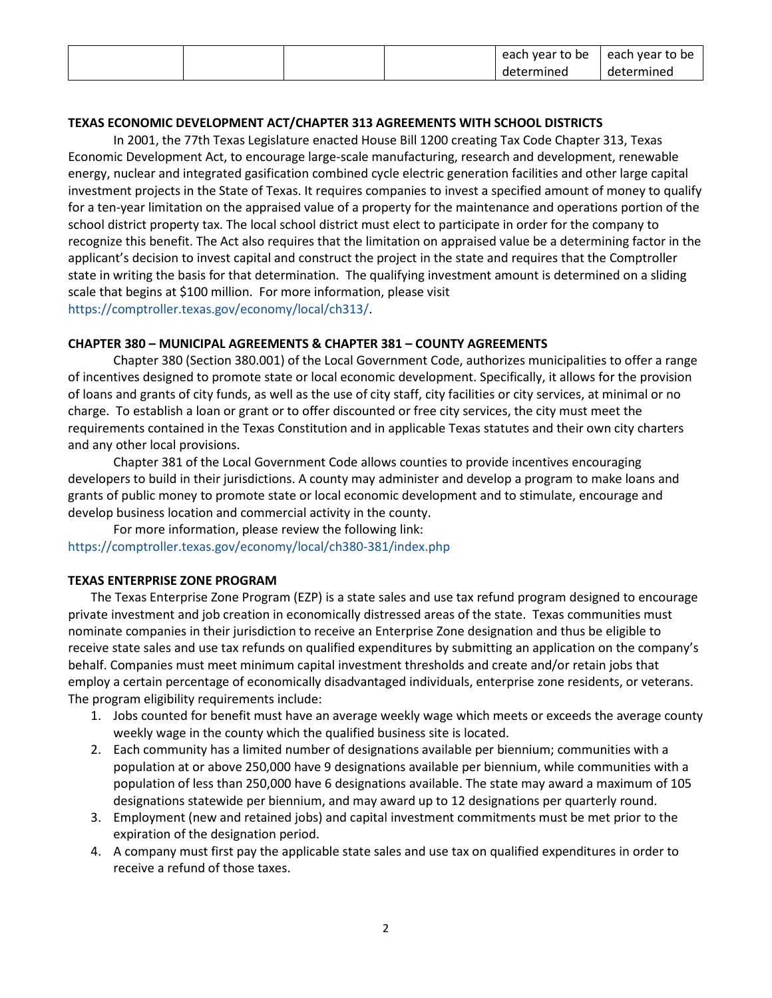|  |  | each year to be | each year to be |
|--|--|-----------------|-----------------|
|  |  | determined      | determined      |

## **TEXAS ECONOMIC DEVELOPMENT ACT/CHAPTER 313 AGREEMENTS WITH SCHOOL DISTRICTS**

In 2001, the 77th Texas Legislature enacted House Bill 1200 creating Tax Code Chapter 313, Texas Economic Development Act, to encourage large-scale manufacturing, research and development, renewable energy, nuclear and integrated gasification combined cycle electric generation facilities and other large capital investment projects in the State of Texas. It requires companies to invest a specified amount of money to qualify for a ten-year limitation on the appraised value of a property for the maintenance and operations portion of the school district property tax. The local school district must elect to participate in order for the company to recognize this benefit. The Act also requires that the limitation on appraised value be a determining factor in the applicant's decision to invest capital and construct the project in the state and requires that the Comptroller state in writing the basis for that determination. The qualifying investment amount is determined on a sliding scale that begins at \$100 million. For more information, please visit [https://comptroller.texas.gov/economy/local/ch313/.](https://comptroller.texas.gov/economy/local/ch313/)

## **CHAPTER 380 – MUNICIPAL AGREEMENTS & CHAPTER 381 – COUNTY AGREEMENTS**

Chapter 380 (Section 380.001) of the Local Government Code, authorizes municipalities to offer a range of incentives designed to promote state or local economic development. Specifically, it allows for the provision of loans and grants of city funds, as well as the use of city staff, city facilities or city services, at minimal or no charge. To establish a loan or grant or to offer discounted or free city services, the city must meet the requirements contained in the Texas Constitution and in applicable Texas statutes and their own city charters and any other local provisions.

Chapter 381 of the Local Government Code allows counties to provide incentives encouraging developers to build in their jurisdictions. A county may administer and develop a program to make loans and grants of public money to promote state or local economic development and to stimulate, encourage and develop business location and commercial activity in the county.

For more information, please review the following link: <https://comptroller.texas.gov/economy/local/ch380-381/index.php>

#### **TEXAS ENTERPRISE ZONE PROGRAM**

The Texas Enterprise Zone Program (EZP) is a state sales and use tax refund program designed to encourage private investment and job creation in economically distressed areas of the state. Texas communities must nominate companies in their jurisdiction to receive an Enterprise Zone designation and thus be eligible to receive state sales and use tax refunds on qualified expenditures by submitting an application on the company's behalf. Companies must meet minimum capital investment thresholds and create and/or retain jobs that employ a certain percentage of economically disadvantaged individuals, enterprise zone residents, or veterans. The program eligibility requirements include:

- 1. Jobs counted for benefit must have an average weekly wage which meets or exceeds the average county weekly wage in the county which the qualified business site is located.
- 2. Each community has a limited number of designations available per biennium; communities with a population at or above 250,000 have 9 designations available per biennium, while communities with a population of less than 250,000 have 6 designations available. The state may award a maximum of 105 designations statewide per biennium, and may award up to 12 designations per quarterly round.
- 3. Employment (new and retained jobs) and capital investment commitments must be met prior to the expiration of the designation period.
- 4. A company must first pay the applicable state sales and use tax on qualified expenditures in order to receive a refund of those taxes.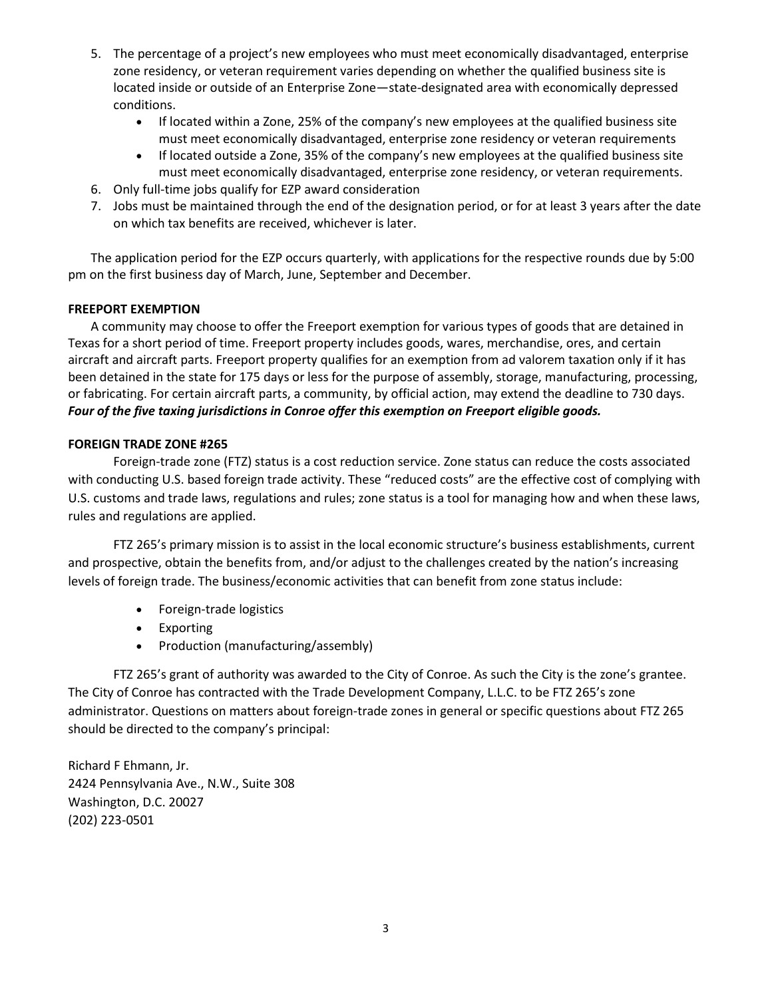- 5. The percentage of a project's new employees who must meet economically disadvantaged, enterprise zone residency, or veteran requirement varies depending on whether the qualified business site is located inside or outside of an Enterprise Zone—state-designated area with economically depressed conditions.
	- If located within a Zone, 25% of the company's new employees at the qualified business site must meet economically disadvantaged, enterprise zone residency or veteran requirements
	- If located outside a Zone, 35% of the company's new employees at the qualified business site must meet economically disadvantaged, enterprise zone residency, or veteran requirements.
- 6. Only full-time jobs qualify for EZP award consideration
- 7. Jobs must be maintained through the end of the designation period, or for at least 3 years after the date on which tax benefits are received, whichever is later.

The application period for the EZP occurs quarterly, with applications for the respective rounds due by 5:00 pm on the first business day of March, June, September and December.

# **FREEPORT EXEMPTION**

A community may choose to offer the Freeport exemption for various types of goods that are detained in Texas for a short period of time. Freeport property includes goods, wares, merchandise, ores, and certain aircraft and aircraft parts. Freeport property qualifies for an exemption from ad valorem taxation only if it has been detained in the state for 175 days or less for the purpose of assembly, storage, manufacturing, processing, or fabricating. For certain aircraft parts, a community, by official action, may extend the deadline to 730 days. *Four of the five taxing jurisdictions in Conroe offer this exemption on Freeport eligible goods.*

## **FOREIGN TRADE ZONE #265**

Foreign-trade zone (FTZ) status is a cost reduction service. Zone status can reduce the costs associated with conducting U.S. based foreign trade activity. These "reduced costs" are the effective cost of complying with U.S. customs and trade laws, regulations and rules; zone status is a tool for managing how and when these laws, rules and regulations are applied.

FTZ 265's primary mission is to assist in the local economic structure's business establishments, current and prospective, obtain the benefits from, and/or adjust to the challenges created by the nation's increasing levels of foreign trade. The business/economic activities that can benefit from zone status include:

- Foreign-trade logistics
- Exporting
- Production (manufacturing/assembly)

FTZ 265's grant of authority was awarded to the City of Conroe. As such the City is the zone's grantee. The City of Conroe has contracted with the Trade Development Company, L.L.C. to be FTZ 265's zone administrator. Questions on matters about foreign-trade zones in general or specific questions about FTZ 265 should be directed to the company's principal:

Richard F Ehmann, Jr. 2424 Pennsylvania Ave., N.W., Suite 308 Washington, D.C. 20027 (202) 223-0501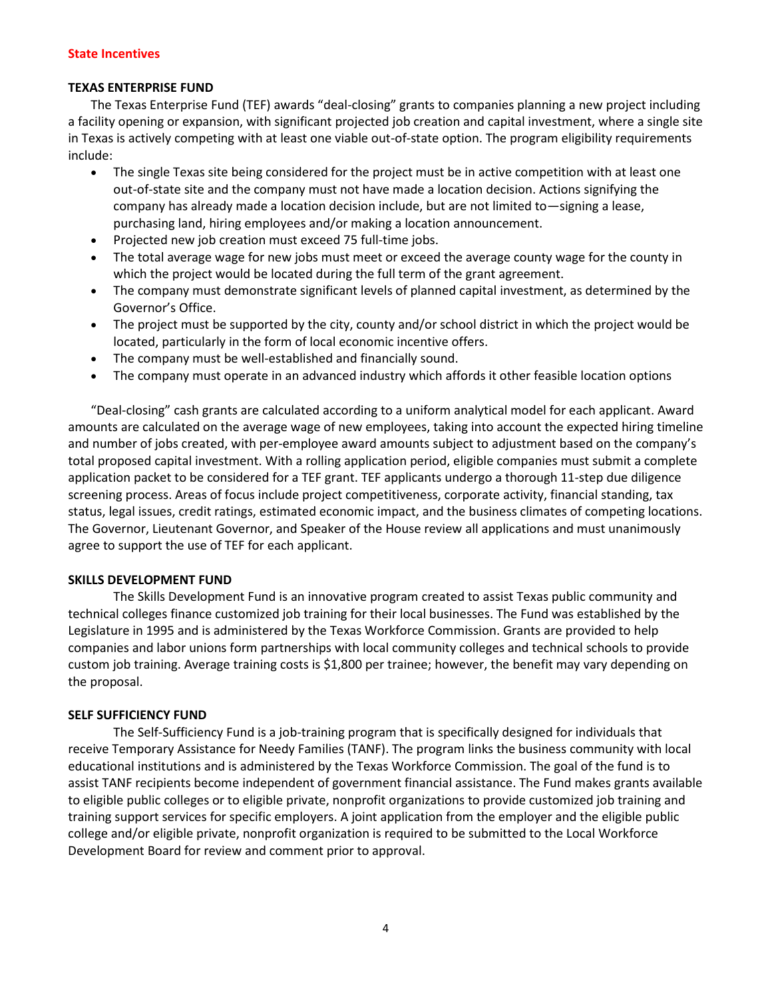## **State Incentives**

## **TEXAS ENTERPRISE FUND**

The Texas Enterprise Fund (TEF) awards "deal-closing" grants to companies planning a new project including a facility opening or expansion, with significant projected job creation and capital investment, where a single site in Texas is actively competing with at least one viable out-of-state option. The program eligibility requirements include:

- The single Texas site being considered for the project must be in active competition with at least one out-of-state site and the company must not have made a location decision. Actions signifying the company has already made a location decision include, but are not limited to—signing a lease, purchasing land, hiring employees and/or making a location announcement.
- Projected new job creation must exceed 75 full-time jobs.
- The total average wage for new jobs must meet or exceed the average county wage for the county in which the project would be located during the full term of the grant agreement.
- The company must demonstrate significant levels of planned capital investment, as determined by the Governor's Office.
- The project must be supported by the city, county and/or school district in which the project would be located, particularly in the form of local economic incentive offers.
- The company must be well-established and financially sound.
- The company must operate in an advanced industry which affords it other feasible location options

"Deal-closing" cash grants are calculated according to a uniform analytical model for each applicant. Award amounts are calculated on the average wage of new employees, taking into account the expected hiring timeline and number of jobs created, with per-employee award amounts subject to adjustment based on the company's total proposed capital investment. With a rolling application period, eligible companies must submit a complete application packet to be considered for a TEF grant. TEF applicants undergo a thorough 11-step due diligence screening process. Areas of focus include project competitiveness, corporate activity, financial standing, tax status, legal issues, credit ratings, estimated economic impact, and the business climates of competing locations. The Governor, Lieutenant Governor, and Speaker of the House review all applications and must unanimously agree to support the use of TEF for each applicant.

## **SKILLS DEVELOPMENT FUND**

The Skills Development Fund is an innovative program created to assist Texas public community and technical colleges finance customized job training for their local businesses. The Fund was established by the Legislature in 1995 and is administered by the Texas Workforce Commission. Grants are provided to help companies and labor unions form partnerships with local community colleges and technical schools to provide custom job training. Average training costs is \$1,800 per trainee; however, the benefit may vary depending on the proposal.

## **SELF SUFFICIENCY FUND**

The Self-Sufficiency Fund is a job-training program that is specifically designed for individuals that receive Temporary Assistance for Needy Families (TANF). The program links the business community with local educational institutions and is administered by the Texas Workforce Commission. The goal of the fund is to assist TANF recipients become independent of government financial assistance. The Fund makes grants available to eligible public colleges or to eligible private, nonprofit organizations to provide customized job training and training support services for specific employers. A joint application from the employer and the eligible public college and/or eligible private, nonprofit organization is required to be submitted to the Local Workforce Development Board for review and comment prior to approval.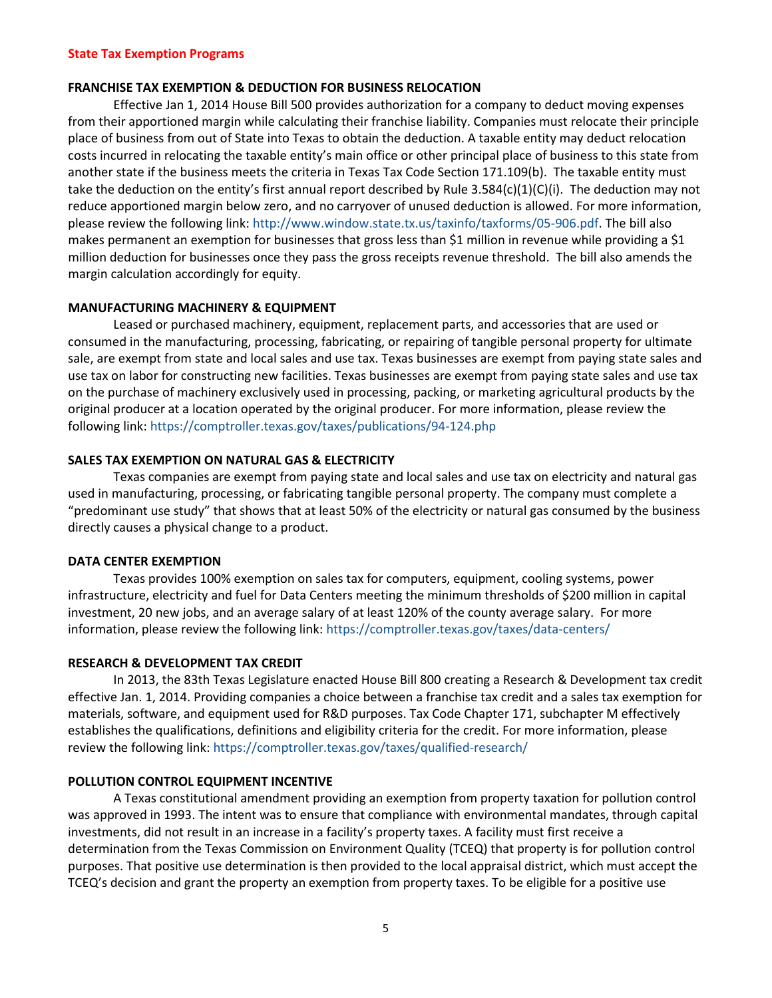#### **FRANCHISE TAX EXEMPTION & DEDUCTION FOR BUSINESS RELOCATION**

Effective Jan 1, 2014 House Bill 500 provides authorization for a company to deduct moving expenses from their apportioned margin while calculating their franchise liability. Companies must relocate their principle place of business from out of State into Texas to obtain the deduction. A taxable entity may deduct relocation costs incurred in relocating the taxable entity's main office or other principal place of business to this state from another state if the business meets the criteria in Texas Tax Code Section 171.109(b). The taxable entity must take the deduction on the entity's first annual report described by Rule 3.584(c)(1)(C)(i). The deduction may not reduce apportioned margin below zero, and no carryover of unused deduction is allowed. For more information, please review the following link[: http://www.window.state.tx.us/taxinfo/taxforms/05-906.pdf.](http://www.window.state.tx.us/taxinfo/taxforms/05-906.pdf) The bill also makes permanent an exemption for businesses that gross less than \$1 million in revenue while providing a \$1 million deduction for businesses once they pass the gross receipts revenue threshold. The bill also amends the margin calculation accordingly for equity.

#### **MANUFACTURING MACHINERY & EQUIPMENT**

Leased or purchased machinery, equipment, replacement parts, and accessories that are used or consumed in the manufacturing, processing, fabricating, or repairing of tangible personal property for ultimate sale, are exempt from state and local sales and use tax. Texas businesses are exempt from paying state sales and use tax on labor for constructing new facilities. Texas businesses are exempt from paying state sales and use tax on the purchase of machinery exclusively used in processing, packing, or marketing agricultural products by the original producer at a location operated by the original producer. For more information, please review the following link:<https://comptroller.texas.gov/taxes/publications/94-124.php>

#### **SALES TAX EXEMPTION ON NATURAL GAS & ELECTRICITY**

Texas companies are exempt from paying state and local sales and use tax on electricity and natural gas used in manufacturing, processing, or fabricating tangible personal property. The company must complete a "predominant use study" that shows that at least 50% of the electricity or natural gas consumed by the business directly causes a physical change to a product.

#### **DATA CENTER EXEMPTION**

Texas provides 100% exemption on sales tax for computers, equipment, cooling systems, power infrastructure, electricity and fuel for Data Centers meeting the minimum thresholds of \$200 million in capital investment, 20 new jobs, and an average salary of at least 120% of the county average salary. For more information, please review the following link:<https://comptroller.texas.gov/taxes/data-centers/>

#### **RESEARCH & DEVELOPMENT TAX CREDIT**

In 2013, the 83th Texas Legislature enacted House Bill 800 creating a Research & Development tax credit effective Jan. 1, 2014. Providing companies a choice between a franchise tax credit and a sales tax exemption for materials, software, and equipment used for R&D purposes. Tax Code Chapter 171, subchapter M effectively establishes the qualifications, definitions and eligibility criteria for the credit. For more information, please review the following link:<https://comptroller.texas.gov/taxes/qualified-research/>

#### **POLLUTION CONTROL EQUIPMENT INCENTIVE**

A Texas constitutional amendment providing an exemption from property taxation for pollution control was approved in 1993. The intent was to ensure that compliance with environmental mandates, through capital investments, did not result in an increase in a facility's property taxes. A facility must first receive a determination from the Texas Commission on Environment Quality (TCEQ) that property is for pollution control purposes. That positive use determination is then provided to the local appraisal district, which must accept the TCEQ's decision and grant the property an exemption from property taxes. To be eligible for a positive use